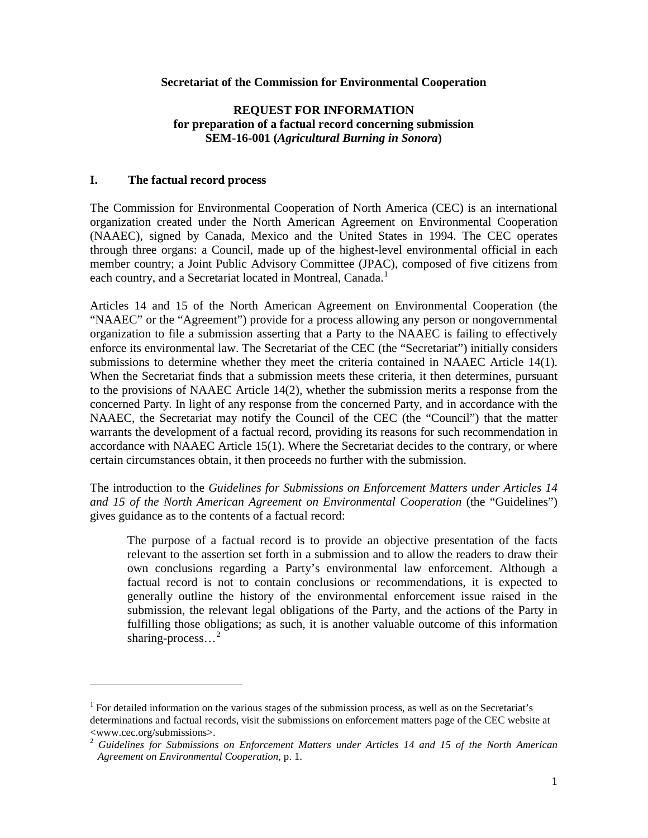#### **Secretariat of the Commission for Environmental Cooperation**

## **REQUEST FOR INFORMATION for preparation of a factual record concerning submission SEM-16-001 (***Agricultural Burning in Sonora***)**

#### **I. The factual record process**

-

The Commission for Environmental Cooperation of North America (CEC) is an international organization created under the North American Agreement on Environmental Cooperation (NAAEC), signed by Canada, Mexico and the United States in 1994. The CEC operates through three organs: a Council, made up of the highest-level environmental official in each member country; a Joint Public Advisory Committee (JPAC), composed of five citizens from each country, and a Secretariat located in Montreal, Canada.<sup>[1](#page-0-0)</sup>

Articles 14 and 15 of the North American Agreement on Environmental Cooperation (the "NAAEC" or the "Agreement") provide for a process allowing any person or nongovernmental organization to file a submission asserting that a Party to the NAAEC is failing to effectively enforce its environmental law. The Secretariat of the CEC (the "Secretariat") initially considers submissions to determine whether they meet the criteria contained in NAAEC Article 14(1). When the Secretariat finds that a submission meets these criteria, it then determines, pursuant to the provisions of NAAEC Article 14(2), whether the submission merits a response from the concerned Party. In light of any response from the concerned Party, and in accordance with the NAAEC, the Secretariat may notify the Council of the CEC (the "Council") that the matter warrants the development of a factual record, providing its reasons for such recommendation in accordance with NAAEC Article 15(1). Where the Secretariat decides to the contrary, or where certain circumstances obtain, it then proceeds no further with the submission.

The introduction to the *Guidelines for Submissions on Enforcement Matters under Articles 14 and 15 of the North American Agreement on Environmental Cooperation* (the "Guidelines") gives guidance as to the contents of a factual record:

The purpose of a factual record is to provide an objective presentation of the facts relevant to the assertion set forth in a submission and to allow the readers to draw their own conclusions regarding a Party's environmental law enforcement. Although a factual record is not to contain conclusions or recommendations, it is expected to generally outline the history of the environmental enforcement issue raised in the submission, the relevant legal obligations of the Party, and the actions of the Party in fulfilling those obligations; as such, it is another valuable outcome of this information sharing-process...<sup>[2](#page-0-1)</sup>

<span id="page-0-0"></span><sup>&</sup>lt;sup>1</sup> For detailed information on the various stages of the submission process, as well as on the Secretariat's determinations and factual records, visit the submissions on enforcement matters page of the CEC website at www.cec.org/submissions>.

<span id="page-0-1"></span><sup>2</sup> *Guidelines for Submissions on Enforcement Matters under Articles 14 and 15 of the North American Agreement on Environmental Cooperation*, p. 1.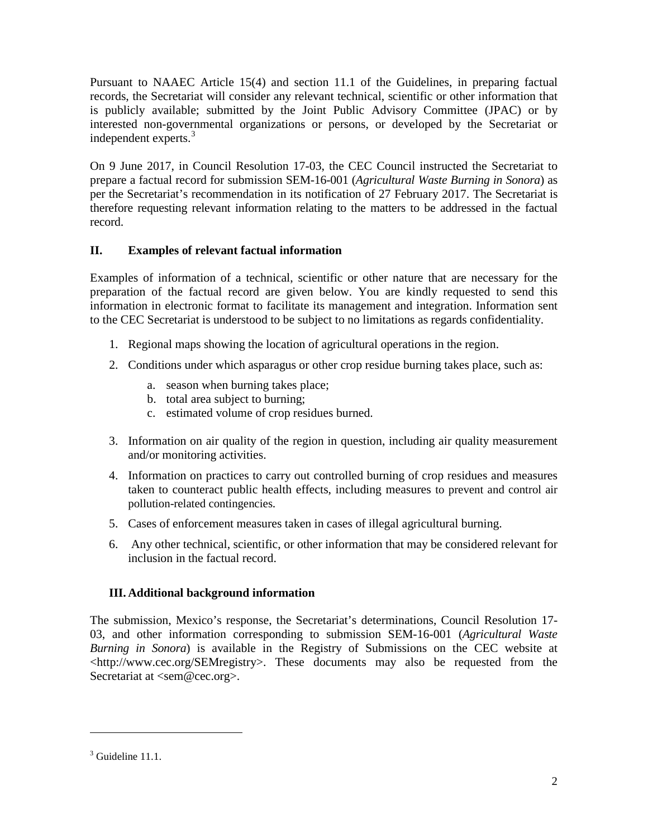Pursuant to NAAEC Article 15(4) and section 11.1 of the Guidelines, in preparing factual records, the Secretariat will consider any relevant technical, scientific or other information that is publicly available; submitted by the Joint Public Advisory Committee (JPAC) or by interested non-governmental organizations or persons, or developed by the Secretariat or independent experts.[3](#page-1-0)

On 9 June 2017, in Council Resolution 17-03, the CEC Council instructed the Secretariat to prepare a factual record for submission SEM-16-001 (*Agricultural Waste Burning in Sonora*) as per the Secretariat's recommendation in its notification of 27 February 2017. The Secretariat is therefore requesting relevant information relating to the matters to be addressed in the factual record.

## **II. Examples of relevant factual information**

Examples of information of a technical, scientific or other nature that are necessary for the preparation of the factual record are given below. You are kindly requested to send this information in electronic format to facilitate its management and integration. Information sent to the CEC Secretariat is understood to be subject to no limitations as regards confidentiality.

- 1. Regional maps showing the location of agricultural operations in the region.
- 2. Conditions under which asparagus or other crop residue burning takes place, such as:
	- a. season when burning takes place;
	- b. total area subject to burning;
	- c. estimated volume of crop residues burned.
- 3. Information on air quality of the region in question, including air quality measurement and/or monitoring activities.
- 4. Information on practices to carry out controlled burning of crop residues and measures taken to counteract public health effects, including measures to prevent and control air pollution-related contingencies.
- 5. Cases of enforcement measures taken in cases of illegal agricultural burning.
- 6. Any other technical, scientific, or other information that may be considered relevant for inclusion in the factual record.

# **III. Additional background information**

The submission, Mexico's response, the Secretariat's determinations, Council Resolution 17- 03, and other information corresponding to submission SEM-16-001 (*Agricultural Waste Burning in Sonora*) is available in the Registry of Submissions on the CEC website at <http://www.cec.org/SEMregistry>. These documents may also be requested from the Secretariat at <sem@cec.org>.

-

<span id="page-1-0"></span> $3$  Guideline 11.1.